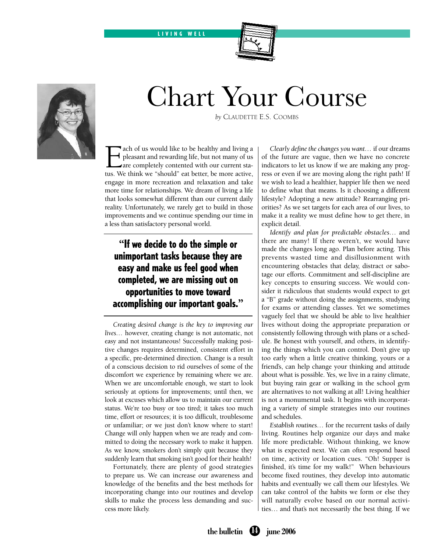LIVING WELL





## Chart Your Course

*by* Claudette E.S. Coombs

Each of us would like to be healthy and living a pleasant and rewarding life, but not many of us are completely contented with our current stations. We think we "should" eat better be more active pleasant and rewarding life, but not many of us are completely contented with our current status. We think we "should" eat better, be more active, engage in more recreation and relaxation and take more time for relationships. We dream of living a life that looks somewhat different than our current daily reality. Unfortunately, we rarely get to build in those improvements and we continue spending our time in a less than satisfactory personal world.

## **"**If we decide to do the simple or unimportant tasks because they are easy and make us feel good when completed, we are missing out on opportunities to move toward accomplishing our important goals.**"**

*Creating desired change is the key to improving our lives…* however, creating change is not automatic, not easy and not instantaneous! Successfully making positive changes requires determined, consistent effort in a specific, pre-determined direction. Change is a result of a conscious decision to rid ourselves of some of the discomfort we experience by remaining where we are. When we are uncomfortable enough, we start to look seriously at options for improvements; until then, we look at excuses which allow us to maintain our current status. We're too busy or too tired; it takes too much time, effort or resources; it is too difficult, troublesome or unfamiliar; or we just don't know where to start! Change will only happen when we are ready and committed to doing the necessary work to make it happen. As we know, smokers don't simply quit because they suddenly learn that smoking isn't good for their health!

Fortunately, there are plenty of good strategies to prepare us. We can increase our awareness and knowledge of the benefits and the best methods for incorporating change into our routines and develop skills to make the process less demanding and success more likely.

*Clearly define the changes you want…* if our dreams of the future are vague, then we have no concrete indicators to let us know if we are making any progress or even if we are moving along the right path! If we wish to lead a healthier, happier life then we need to define what that means. Is it choosing a different lifestyle? Adopting a new attitude? Rearranging priorities? As we set targets for each area of our lives, to make it a reality we must define how to get there, in explicit detail.

*Identify and plan for predictable obstacles…* and there are many! If there weren't, we would have made the changes long ago. Plan before acting. This prevents wasted time and disillusionment with encountering obstacles that delay, distract or sabotage our efforts. Commitment and self-discipline are key concepts to ensuring success. We would consider it ridiculous that students would expect to get a "B" grade without doing the assignments, studying for exams or attending classes. Yet we sometimes vaguely feel that we should be able to live healthier lives without doing the appropriate preparation or consistently following through with plans or a schedule. Be honest with yourself, and others, in identifying the things which you can control. Don't give up too early when a little creative thinking, yours or a friend's, can help change your thinking and attitude about what is possible. Yes, we live in a rainy climate, but buying rain gear or walking in the school gym are alternatives to not walking at all! Living healthier is not a monumental task. It begins with incorporating a variety of simple strategies into our routines and schedules.

*Establish routines…* for the recurrent tasks of daily living. Routines help organize our days and make life more predictable. Without thinking, we know what is expected next. We can often respond based on time, activity or location cues. "Oh! Supper is finished, it's time for my walk!" When behaviours become fixed routines, they develop into automatic habits and eventually we call them our lifestyles. We can take control of the habits we form or else they will naturally evolve based on our normal activities… and that's not necessarily the best thing. If we